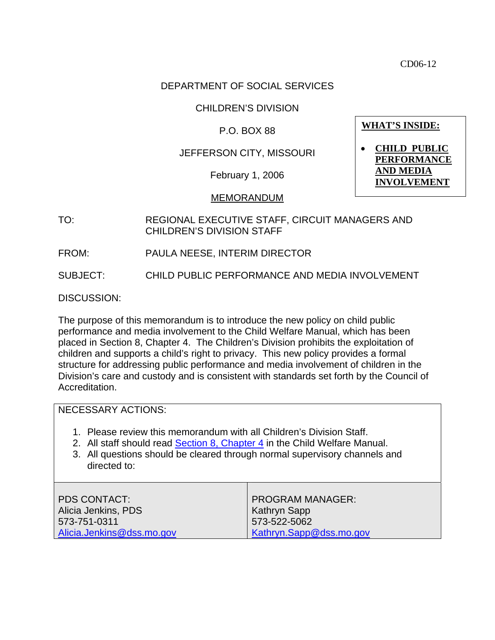CD06-12

## DEPARTMENT OF SOCIAL SERVICES

### CHILDREN'S DIVISION

### P.O. BOX 88

# JEFFERSON CITY, MISSOURI

February 1, 2006

#### MEMORANDUM

- TO: REGIONAL EXECUTIVE STAFF, CIRCUIT MANAGERS AND CHILDREN'S DIVISION STAFF
	- FROM: PAULA NEESE, INTERIM DIRECTOR

SUBJECT: CHILD PUBLIC PERFORMANCE AND MEDIA INVOLVEMENT

DISCUSSION:

The purpose of this memorandum is to introduce the new policy on child public performance and media involvement to the Child Welfare Manual, which has been placed in Section 8, Chapter 4. The Children's Division prohibits the exploitation of children and supports a child's right to privacy. This new policy provides a formal structure for addressing public performance and media involvement of children in the Division's care and custody and is consistent with standards set forth by the Council of Accreditation.

| <b>NECESSARY ACTIONS:</b>                                                                                                                                                                                                                        |                                                                                           |
|--------------------------------------------------------------------------------------------------------------------------------------------------------------------------------------------------------------------------------------------------|-------------------------------------------------------------------------------------------|
| 1. Please review this memorandum with all Children's Division Staff.<br>2. All staff should read Section 8, Chapter 4 in the Child Welfare Manual.<br>3. All questions should be cleared through normal supervisory channels and<br>directed to: |                                                                                           |
| <b>PDS CONTACT:</b><br>Alicia Jenkins, PDS<br>573-751-0311<br>Alicia.Jenkins@dss.mo.gov                                                                                                                                                          | <b>PROGRAM MANAGER:</b><br><b>Kathryn Sapp</b><br>573-522-5062<br>Kathryn.Sapp@dss.mo.gov |

**WHAT'S INSIDE:**

• **CHILD PUBLIC PERFORMANCE AND MEDIA INVOLVEMENT**